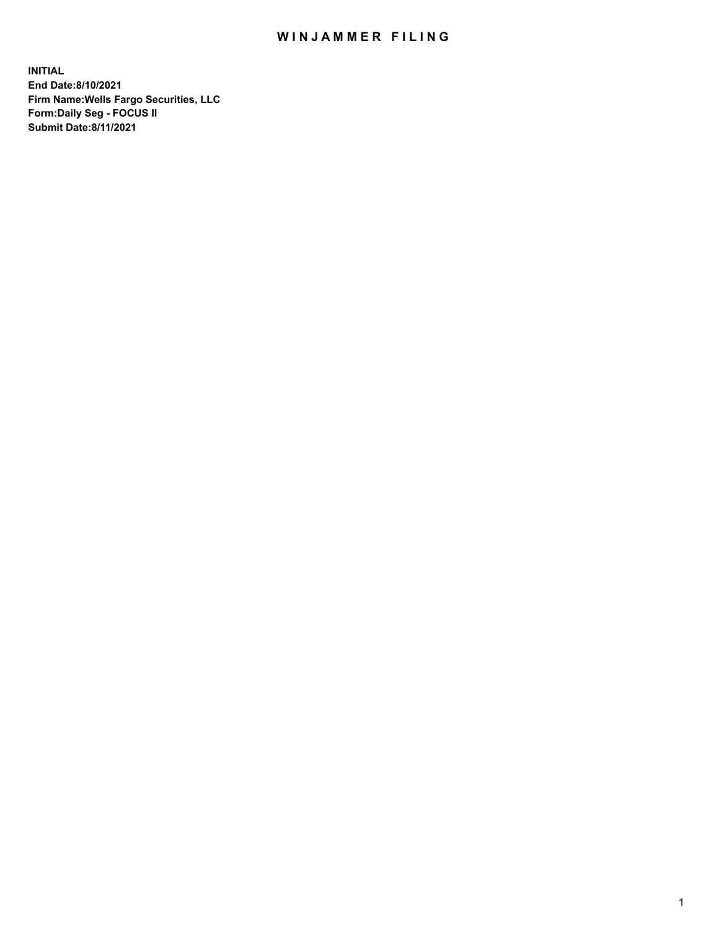## WIN JAMMER FILING

**INITIAL End Date:8/10/2021 Firm Name:Wells Fargo Securities, LLC Form:Daily Seg - FOCUS II Submit Date:8/11/2021**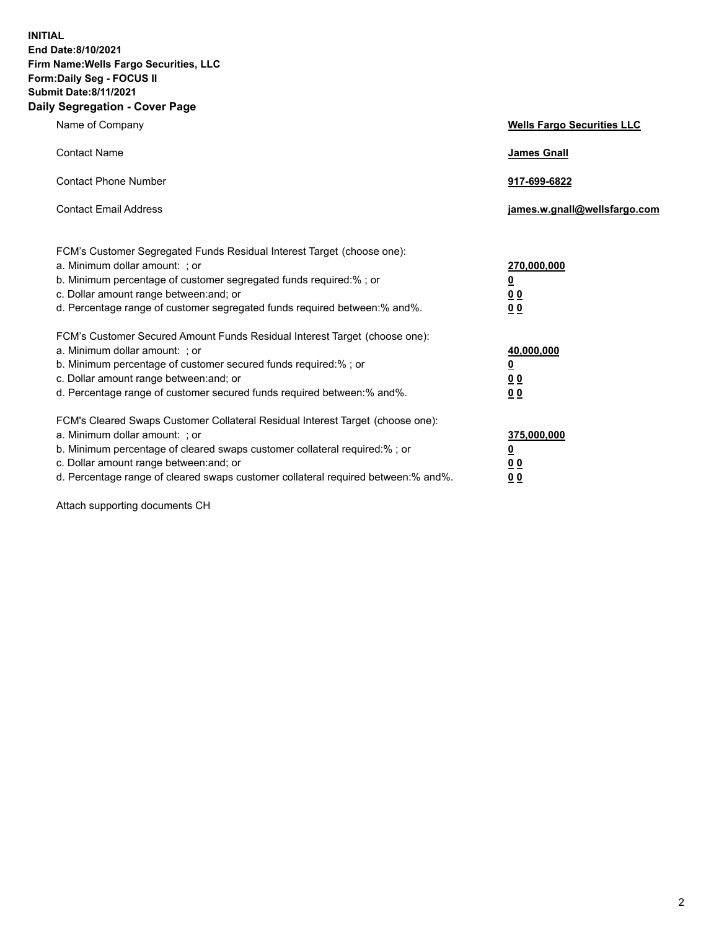**INITIAL End Date:8/10/2021 Firm Name:Wells Fargo Securities, LLC Form:Daily Seg - FOCUS II Submit Date:8/11/2021 Daily Segregation - Cover Page**

| Name of Company                                                                                                                                                                                                                                                                                                                | <b>Wells Fargo Securities LLC</b>                                          |
|--------------------------------------------------------------------------------------------------------------------------------------------------------------------------------------------------------------------------------------------------------------------------------------------------------------------------------|----------------------------------------------------------------------------|
| <b>Contact Name</b>                                                                                                                                                                                                                                                                                                            | <b>James Gnall</b>                                                         |
| <b>Contact Phone Number</b>                                                                                                                                                                                                                                                                                                    | 917-699-6822                                                               |
| <b>Contact Email Address</b>                                                                                                                                                                                                                                                                                                   | james.w.gnall@wellsfargo.com                                               |
| FCM's Customer Segregated Funds Residual Interest Target (choose one):<br>a. Minimum dollar amount: ; or<br>b. Minimum percentage of customer segregated funds required:% ; or<br>c. Dollar amount range between: and; or<br>d. Percentage range of customer segregated funds required between:% and%.                         | 270,000,000<br>$\underline{\mathbf{0}}$<br>00<br>00                        |
| FCM's Customer Secured Amount Funds Residual Interest Target (choose one):<br>a. Minimum dollar amount: ; or<br>b. Minimum percentage of customer secured funds required:%; or<br>c. Dollar amount range between: and; or<br>d. Percentage range of customer secured funds required between: % and %.                          | 40,000,000<br>$\underline{\mathbf{0}}$<br>0 <sub>0</sub><br>0 <sub>0</sub> |
| FCM's Cleared Swaps Customer Collateral Residual Interest Target (choose one):<br>a. Minimum dollar amount: ; or<br>b. Minimum percentage of cleared swaps customer collateral required:% ; or<br>c. Dollar amount range between: and; or<br>d. Percentage range of cleared swaps customer collateral required between:% and%. | 375,000,000<br><u>0</u><br>00<br><u>00</u>                                 |

Attach supporting documents CH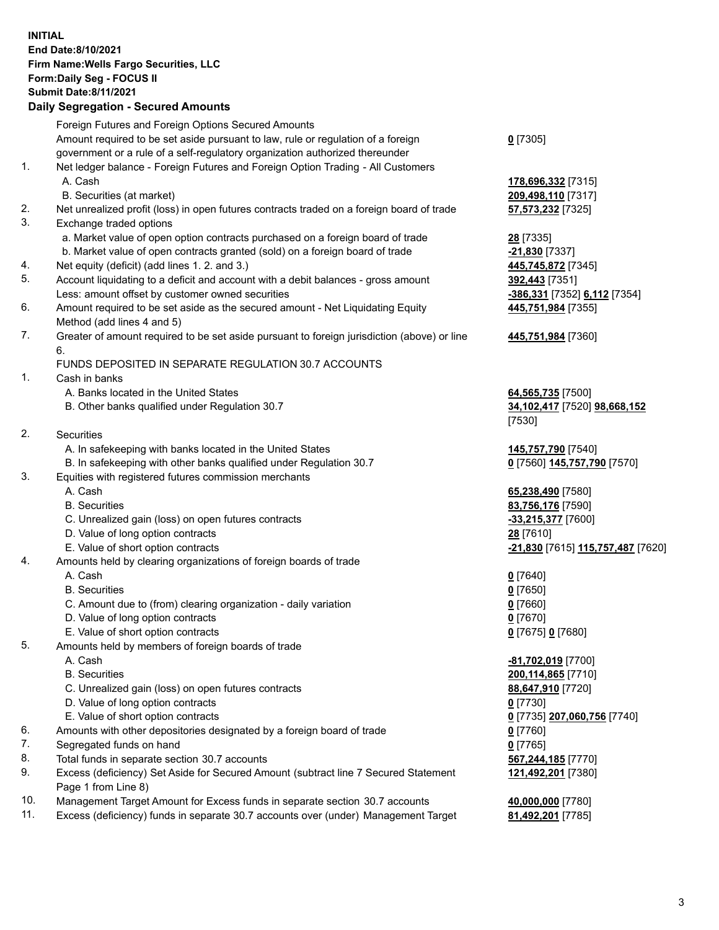**INITIAL End Date:8/10/2021 Firm Name:Wells Fargo Securities, LLC Form:Daily Seg - FOCUS II Submit Date:8/11/2021 Daily Segregation - Secured Amounts**

Foreign Futures and Foreign Options Secured Amounts Amount required to be set aside pursuant to law, rule or regulation of a foreign government or a rule of a self-regulatory organization authorized thereunder 1. Net ledger balance - Foreign Futures and Foreign Option Trading - All Customers A. Cash **178,696,332** [7315] B. Securities (at market) **209,498,110** [7317] 2. Net unrealized profit (loss) in open futures contracts traded on a foreign board of trade **57,573,232** [7325] 3. Exchange traded options a. Market value of open option contracts purchased on a foreign board of trade **28** [7335] b. Market value of open contracts granted (sold) on a foreign board of trade **-21,830** [7337] 4. Net equity (deficit) (add lines 1. 2. and 3.) **445,745,872** [7345] 5. Account liquidating to a deficit and account with a debit balances - gross amount **392,443** [7351] Less: amount offset by customer owned securities **-386,331** [7352] **6,112** [7354] 6. Amount required to be set aside as the secured amount - Net Liquidating Equity Method (add lines 4 and 5) 7. Greater of amount required to be set aside pursuant to foreign jurisdiction (above) or line 6. FUNDS DEPOSITED IN SEPARATE REGULATION 30.7 ACCOUNTS 1. Cash in banks A. Banks located in the United States **64,565,735** [7500] B. Other banks qualified under Regulation 30.7 **34,102,417** [7520] **98,668,152** 2. Securities A. In safekeeping with banks located in the United States **145,757,790** [7540] B. In safekeeping with other banks qualified under Regulation 30.7 **0** [7560] **145,757,790** [7570] 3. Equities with registered futures commission merchants A. Cash **65,238,490** [7580] B. Securities **83,756,176** [7590] C. Unrealized gain (loss) on open futures contracts **-33,215,377** [7600] D. Value of long option contracts **28** [7610] E. Value of short option contracts **-21,830** [7615] **115,757,487** [7620] 4. Amounts held by clearing organizations of foreign boards of trade A. Cash **0** [7640] B. Securities **0** [7650]

- 
- C. Amount due to (from) clearing organization daily variation **0** [7660]
- D. Value of long option contracts **0** [7670]
- E. Value of short option contracts **0** [7675] **0** [7680]
- 5. Amounts held by members of foreign boards of trade
	-
	-
	- C. Unrealized gain (loss) on open futures contracts **88,647,910** [7720]
	- D. Value of long option contracts **0** [7730]
	-
- 6. Amounts with other depositories designated by a foreign board of trade **0** [7760]
- 7. Segregated funds on hand **0** [7765]
- 8. Total funds in separate section 30.7 accounts **567,244,185** [7770]
- 9. Excess (deficiency) Set Aside for Secured Amount (subtract line 7 Secured Statement Page 1 from Line 8)
- 10. Management Target Amount for Excess funds in separate section 30.7 accounts **40,000,000** [7780]
- 11. Excess (deficiency) funds in separate 30.7 accounts over (under) Management Target **81,492,201** [7785]

**0** [7305]

**445,751,984** [7355]

## **445,751,984** [7360]

[7530]

 A. Cash **-81,702,019** [7700] B. Securities **200,114,865** [7710] E. Value of short option contracts **0** [7735] **207,060,756** [7740] **121,492,201** [7380]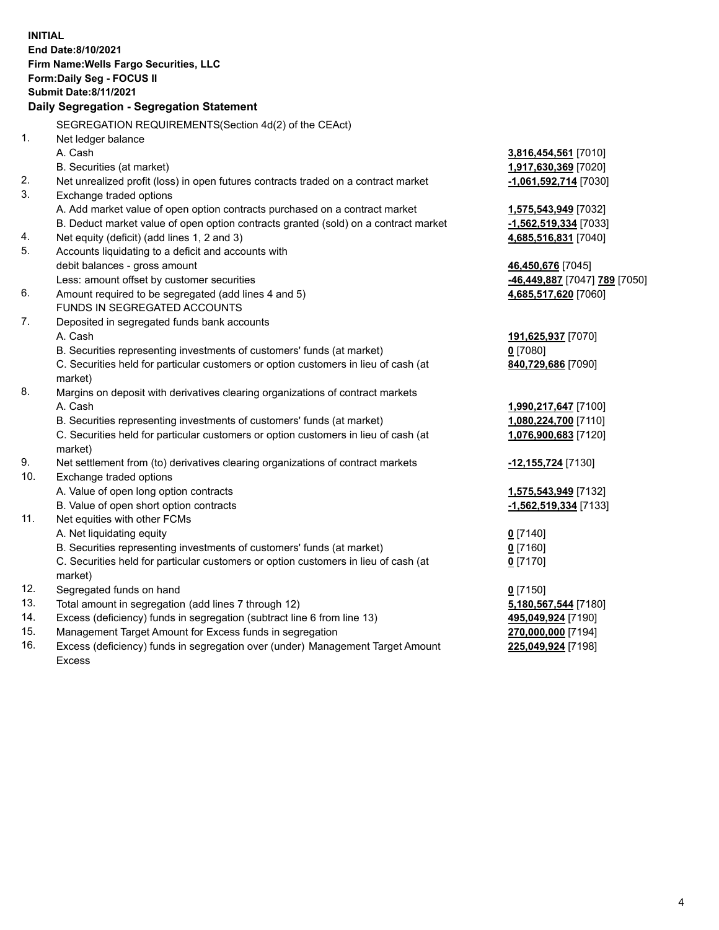**INITIAL End Date:8/10/2021 Firm Name:Wells Fargo Securities, LLC Form:Daily Seg - FOCUS II Submit Date:8/11/2021 Daily Segregation - Segregation Statement** SEGREGATION REQUIREMENTS(Section 4d(2) of the CEAct) 1. Net ledger balance A. Cash **3,816,454,561** [7010] B. Securities (at market) **1,917,630,369** [7020] 2. Net unrealized profit (loss) in open futures contracts traded on a contract market **-1,061,592,714** [7030] 3. Exchange traded options A. Add market value of open option contracts purchased on a contract market **1,575,543,949** [7032] B. Deduct market value of open option contracts granted (sold) on a contract market **-1,562,519,334** [7033] 4. Net equity (deficit) (add lines 1, 2 and 3) **4,685,516,831** [7040] 5. Accounts liquidating to a deficit and accounts with debit balances - gross amount **46,450,676** [7045] Less: amount offset by customer securities **-46,449,887** [7047] **789** [7050] 6. Amount required to be segregated (add lines 4 and 5) **4,685,517,620** [7060] FUNDS IN SEGREGATED ACCOUNTS 7. Deposited in segregated funds bank accounts A. Cash **191,625,937** [7070] B. Securities representing investments of customers' funds (at market) **0** [7080] C. Securities held for particular customers or option customers in lieu of cash (at market) **840,729,686** [7090] 8. Margins on deposit with derivatives clearing organizations of contract markets A. Cash **1,990,217,647** [7100] B. Securities representing investments of customers' funds (at market) **1,080,224,700** [7110] C. Securities held for particular customers or option customers in lieu of cash (at market) **1,076,900,683** [7120] 9. Net settlement from (to) derivatives clearing organizations of contract markets **-12,155,724** [7130] 10. Exchange traded options A. Value of open long option contracts **1,575,543,949** [7132] B. Value of open short option contracts **-1,562,519,334** [7133] 11. Net equities with other FCMs A. Net liquidating equity **0** [7140] B. Securities representing investments of customers' funds (at market) **0** [7160] C. Securities held for particular customers or option customers in lieu of cash (at market) **0** [7170] 12. Segregated funds on hand **0** [7150] 13. Total amount in segregation (add lines 7 through 12) **5,180,567,544** [7180] 14. Excess (deficiency) funds in segregation (subtract line 6 from line 13) **495,049,924** [7190] 15. Management Target Amount for Excess funds in segregation **270,000,000** [7194] 16. Excess (deficiency) funds in segregation over (under) Management Target Amount **225,049,924** [7198]

Excess